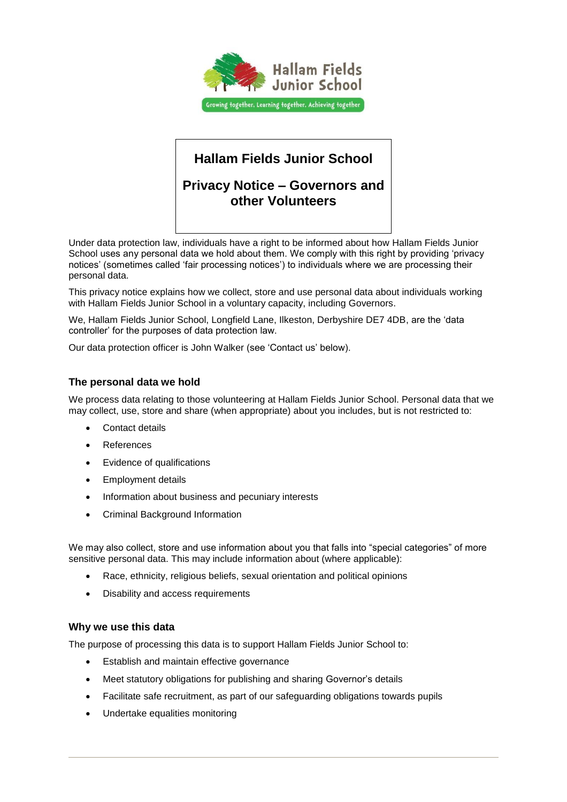

# **Hallam Fields Junior School**

## **Privacy Notice – Governors and other Volunteers**

Under data protection law, individuals have a right to be informed about how Hallam Fields Junior School uses any personal data we hold about them. We comply with this right by providing 'privacy notices' (sometimes called 'fair processing notices') to individuals where we are processing their personal data.

This privacy notice explains how we collect, store and use personal data about individuals working with Hallam Fields Junior School in a voluntary capacity, including Governors.

We, Hallam Fields Junior School, Longfield Lane, Ilkeston, Derbyshire DE7 4DB, are the 'data controller' for the purposes of data protection law.

Our data protection officer is John Walker (see 'Contact us' below).

## **The personal data we hold**

We process data relating to those volunteering at Hallam Fields Junior School. Personal data that we may collect, use, store and share (when appropriate) about you includes, but is not restricted to:

- Contact details
- References
- Evidence of qualifications
- Employment details
- Information about business and pecuniary interests
- Criminal Background Information

We may also collect, store and use information about you that falls into "special categories" of more sensitive personal data. This may include information about (where applicable):

- Race, ethnicity, religious beliefs, sexual orientation and political opinions
- Disability and access requirements

#### **Why we use this data**

The purpose of processing this data is to support Hallam Fields Junior School to:

- **Establish and maintain effective governance**
- Meet statutory obligations for publishing and sharing Governor's details
- Facilitate safe recruitment, as part of our safeguarding obligations towards pupils
- Undertake equalities monitoring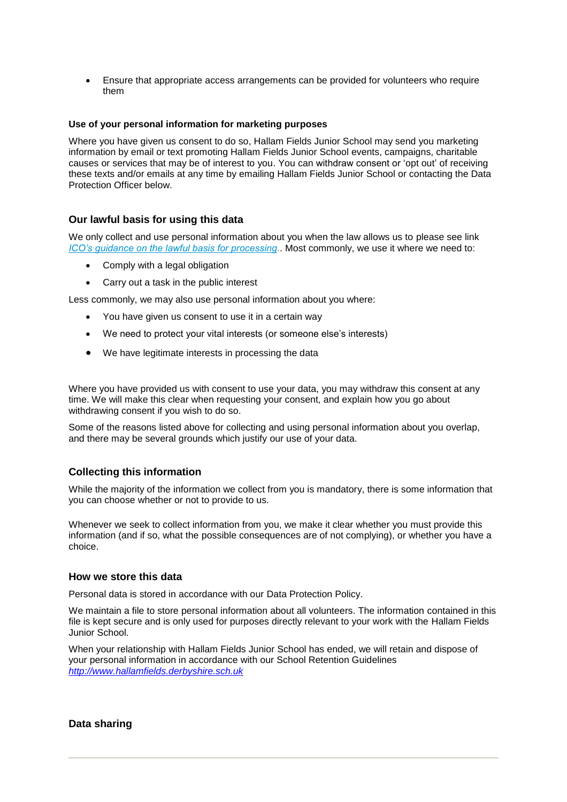Ensure that appropriate access arrangements can be provided for volunteers who require them

#### **Use of your personal information for marketing purposes**

Where you have given us consent to do so, Hallam Fields Junior School may send you marketing information by email or text promoting Hallam Fields Junior School events, campaigns, charitable causes or services that may be of interest to you. You can withdraw consent or 'opt out' of receiving these texts and/or emails at any time by emailing Hallam Fields Junior School or contacting the Data Protection Officer below.

## **Our lawful basis for using this data**

We only collect and use personal information about you when the law allows us to please see link *[ICO's guidance on the lawful basis for processing](https://ico.org.uk/for-organisations/guide-to-the-general-data-protection-regulation-gdpr/lawful-basis-for-processing)*.. Most commonly, we use it where we need to:

- Comply with a legal obligation
- Carry out a task in the public interest

Less commonly, we may also use personal information about you where:

- You have given us consent to use it in a certain way
- We need to protect your vital interests (or someone else's interests)
- We have legitimate interests in processing the data

Where you have provided us with consent to use your data, you may withdraw this consent at any time. We will make this clear when requesting your consent, and explain how you go about withdrawing consent if you wish to do so.

Some of the reasons listed above for collecting and using personal information about you overlap, and there may be several grounds which justify our use of your data.

#### **Collecting this information**

While the majority of the information we collect from you is mandatory, there is some information that you can choose whether or not to provide to us.

Whenever we seek to collect information from you, we make it clear whether you must provide this information (and if so, what the possible consequences are of not complying), or whether you have a choice.

#### **How we store this data**

Personal data is stored in accordance with our Data Protection Policy.

We maintain a file to store personal information about all volunteers. The information contained in this file is kept secure and is only used for purposes directly relevant to your work with the Hallam Fields Junior School.

When your relationship with Hallam Fields Junior School has ended, we will retain and dispose of your personal information in accordance with our School Retention Guidelines *[http://www.hallamfields.derbyshire.sch.uk](http://www.hallamfields.derbyshire.sch.uk/)*

#### **Data sharing**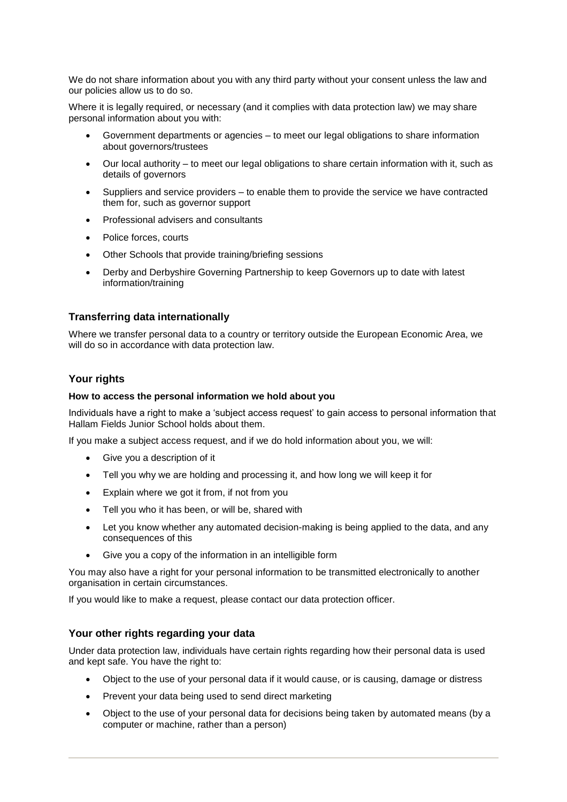We do not share information about you with any third party without your consent unless the law and our policies allow us to do so.

Where it is legally required, or necessary (and it complies with data protection law) we may share personal information about you with:

- Government departments or agencies to meet our legal obligations to share information about governors/trustees
- Our local authority to meet our legal obligations to share certain information with it, such as details of governors
- Suppliers and service providers to enable them to provide the service we have contracted them for, such as governor support
- Professional advisers and consultants
- Police forces, courts
- Other Schools that provide training/briefing sessions
- Derby and Derbyshire Governing Partnership to keep Governors up to date with latest information/training

#### **Transferring data internationally**

Where we transfer personal data to a country or territory outside the European Economic Area, we will do so in accordance with data protection law.

#### **Your rights**

#### **How to access the personal information we hold about you**

Individuals have a right to make a 'subject access request' to gain access to personal information that Hallam Fields Junior School holds about them.

If you make a subject access request, and if we do hold information about you, we will:

- Give you a description of it
- Tell you why we are holding and processing it, and how long we will keep it for
- Explain where we got it from, if not from you
- Tell you who it has been, or will be, shared with
- Let you know whether any automated decision-making is being applied to the data, and any consequences of this
- Give you a copy of the information in an intelligible form

You may also have a right for your personal information to be transmitted electronically to another organisation in certain circumstances.

If you would like to make a request, please contact our data protection officer.

#### **Your other rights regarding your data**

Under data protection law, individuals have certain rights regarding how their personal data is used and kept safe. You have the right to:

- Object to the use of your personal data if it would cause, or is causing, damage or distress
- Prevent your data being used to send direct marketing
- Object to the use of your personal data for decisions being taken by automated means (by a computer or machine, rather than a person)